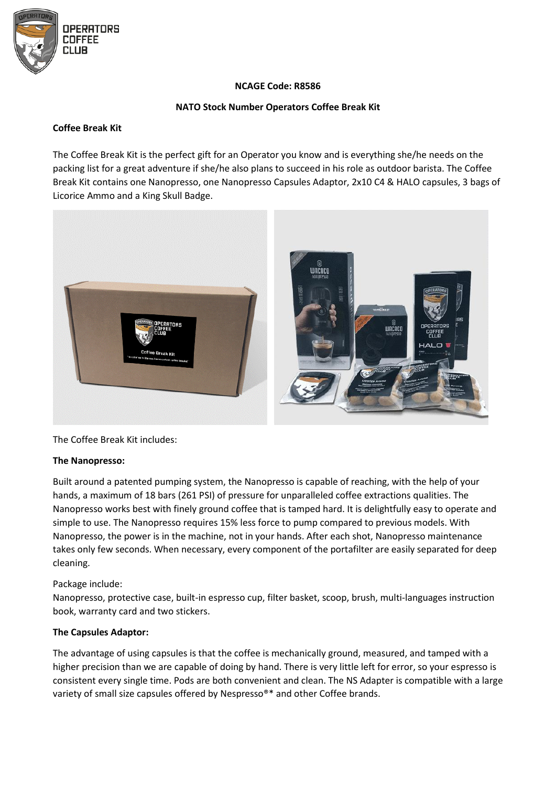

# **NCAGE Code: R8586**

## **NATO Stock Number Operators Coffee Break Kit**

### **Coffee Break Kit**

The Coffee Break Kit is the perfect gift for an Operator you know and is everything she/he needs on the packing list for a great adventure if she/he also plans to succeed in his role as outdoor barista. The Coffee Break Kit contains one Nanopresso, one Nanopresso Capsules Adaptor, 2x10 C4 & HALO capsules, 3 bags of Licorice Ammo and a King Skull Badge.



The Coffee Break Kit includes:

#### **The Nanopresso:**

Built around a patented pumping system, the Nanopresso is capable of reaching, with the help of your hands, a maximum of 18 bars (261 PSI) of pressure for unparalleled coffee extractions qualities. The Nanopresso works best with finely ground coffee that is tamped hard. It is delightfully easy to operate and simple to use. The Nanopresso requires 15% less force to pump compared to previous models. With Nanopresso, the power is in the machine, not in your hands. After each shot, Nanopresso maintenance takes only few seconds. When necessary, every component of the portafilter are easily separated for deep cleaning.

#### Package include:

Nanopresso, protective case, built-in espresso cup, filter basket, scoop, brush, multi-languages instruction book, warranty card and two stickers.

#### **The Capsules Adaptor:**

The advantage of using capsules is that the coffee is mechanically ground, measured, and tamped with a higher precision than we are capable of doing by hand. There is very little left for error, so your espresso is consistent every single time. Pods are both convenient and clean. The NS Adapter is compatible with a large variety of small size capsules offered by Nespresso®\* and other Coffee brands.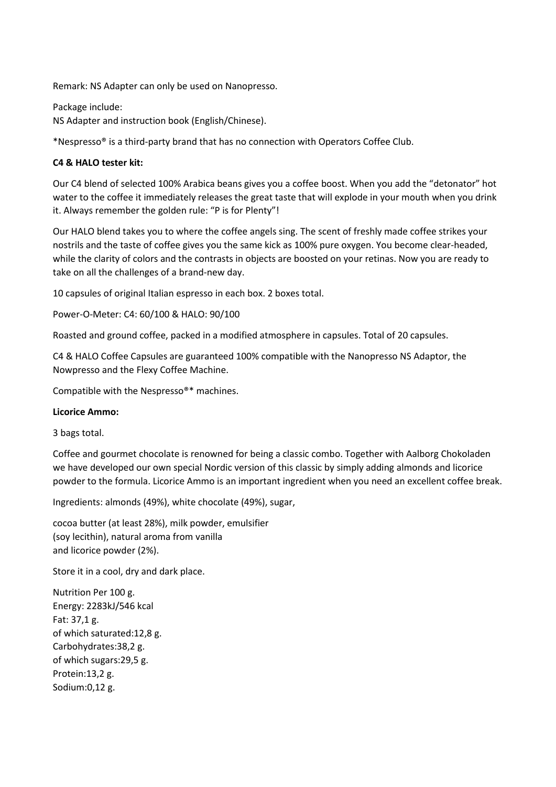Remark: NS Adapter can only be used on Nanopresso.

Package include: NS Adapter and instruction book (English/Chinese).

\*Nespresso® is a third-party brand that has no connection with Operators Coffee Club.

## **C4 & HALO tester kit:**

Our C4 blend of selected 100% Arabica beans gives you a coffee boost. When you add the "detonator" hot water to the coffee it immediately releases the great taste that will explode in your mouth when you drink it. Always remember the golden rule: "P is for Plenty"!

Our HALO blend takes you to where the coffee angels sing. The scent of freshly made coffee strikes your nostrils and the taste of coffee gives you the same kick as 100% pure oxygen. You become clear-headed, while the clarity of colors and the contrasts in objects are boosted on your retinas. Now you are ready to take on all the challenges of a brand-new day.

10 capsules of original Italian espresso in each box. 2 boxes total.

Power-O-Meter: C4: 60/100 & HALO: 90/100

Roasted and ground coffee, packed in a modified atmosphere in capsules. Total of 20 capsules.

C4 & HALO Coffee Capsules are guaranteed 100% compatible with the Nanopresso NS Adaptor, the Nowpresso and the Flexy Coffee Machine.

Compatible with the Nespresso®\* machines.

#### **Licorice Ammo:**

3 bags total.

Coffee and gourmet chocolate is renowned for being a classic combo. Together with Aalborg Chokoladen we have developed our own special Nordic version of this classic by simply adding almonds and licorice powder to the formula. Licorice Ammo is an important ingredient when you need an excellent coffee break.

Ingredients: almonds (49%), white chocolate (49%), sugar,

cocoa butter (at least 28%), milk powder, emulsifier (soy lecithin), natural aroma from vanilla and licorice powder (2%).

Store it in a cool, dry and dark place.

Nutrition Per 100 g. Energy: 2283kJ/546 kcal Fat: 37,1 g. of which saturated:12,8 g. Carbohydrates:38,2 g. of which sugars:29,5 g. Protein:13,2 g. Sodium:0,12 g.